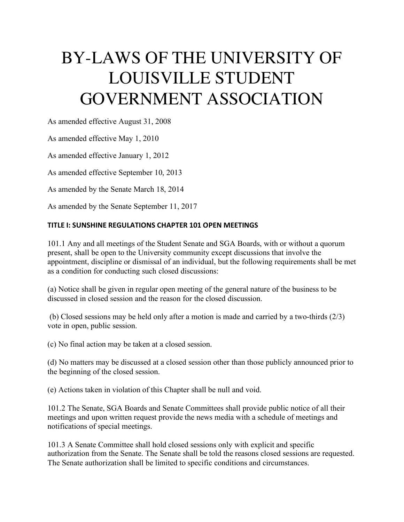# BY-LAWS OF THE UNIVERSITY OF LOUISVILLE STUDENT GOVERNMENT ASSOCIATION

As amended effective August 31, 2008

As amended effective May 1, 2010

As amended effective January 1, 2012

As amended effective September 10, 2013

As amended by the Senate March 18, 2014

As amended by the Senate September 11, 2017

# **TITLE I: SUNSHINE REGULATIONS CHAPTER 101 OPEN MEETINGS**

101.1 Any and all meetings of the Student Senate and SGA Boards, with or without a quorum present, shall be open to the University community except discussions that involve the appointment, discipline or dismissal of an individual, but the following requirements shall be met as a condition for conducting such closed discussions:

(a) Notice shall be given in regular open meeting of the general nature of the business to be discussed in closed session and the reason for the closed discussion.

(b) Closed sessions may be held only after a motion is made and carried by a two-thirds (2/3) vote in open, public session.

(c) No final action may be taken at a closed session.

(d) No matters may be discussed at a closed session other than those publicly announced prior to the beginning of the closed session.

(e) Actions taken in violation of this Chapter shall be null and void.

101.2 The Senate, SGA Boards and Senate Committees shall provide public notice of all their meetings and upon written request provide the news media with a schedule of meetings and notifications of special meetings.

101.3 A Senate Committee shall hold closed sessions only with explicit and specific authorization from the Senate. The Senate shall be told the reasons closed sessions are requested. The Senate authorization shall be limited to specific conditions and circumstances.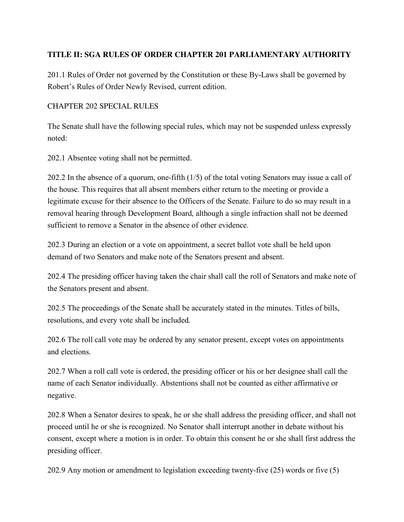# **TITLE II: SGA RULES OF ORDER CHAPTER 201 PARLIAMENTARY AUTHORITY**

201.1 Rules of Order not governed by the Constitution or these By-Laws shall be governed by Robert's Rules of Order Newly Revised, current edition.

## CHAPTER 202 SPECIAL RULES

The Senate shall have the following special rules, which may not be suspended unless expressly noted:

202.1 Absentee voting shall not be permitted.

202.2 In the absence of a quorum, one-fifth (1/5) of the total voting Senators may issue a call of the house. This requires that all absent members either return to the meeting or provide a legitimate excuse for their absence to the Officers of the Senate. Failure to do so may result in a removal hearing through Development Board, although a single infraction shall not be deemed sufficient to remove a Senator in the absence of other evidence.

202.3 During an election or a vote on appointment, a secret ballot vote shall be held upon demand of two Senators and make note of the Senators present and absent.

202.4 The presiding officer having taken the chair shall call the roll of Senators and make note of the Senators present and absent.

202.5 The proceedings of the Senate shall be accurately stated in the minutes. Titles of bills, resolutions, and every vote shall be included.

202.6 The roll call vote may be ordered by any senator present, except votes on appointments and elections.

202.7 When a roll call vote is ordered, the presiding officer or his or her designee shall call the name of each Senator individually. Abstentions shall not be counted as either affirmative or negative.

202.8 When a Senator desires to speak, he or she shall address the presiding officer, and shall not proceed until he or she is recognized. No Senator shall interrupt another in debate without his consent, except where a motion is in order. To obtain this consent he or she shall first address the presiding officer.

202.9 Any motion or amendment to legislation exceeding twenty-five (25) words or five (5)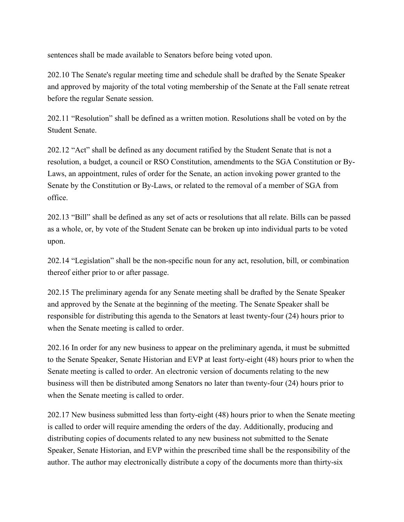sentences shall be made available to Senators before being voted upon.

202.10 The Senate's regular meeting time and schedule shall be drafted by the Senate Speaker and approved by majority of the total voting membership of the Senate at the Fall senate retreat before the regular Senate session.

202.11 "Resolution" shall be defined as a written motion. Resolutions shall be voted on by the Student Senate.

202.12 "Act" shall be defined as any document ratified by the Student Senate that is not a resolution, a budget, a council or RSO Constitution, amendments to the SGA Constitution or By-Laws, an appointment, rules of order for the Senate, an action invoking power granted to the Senate by the Constitution or By-Laws, or related to the removal of a member of SGA from office.

202.13 "Bill" shall be defined as any set of acts or resolutions that all relate. Bills can be passed as a whole, or, by vote of the Student Senate can be broken up into individual parts to be voted upon.

202.14 "Legislation" shall be the non-specific noun for any act, resolution, bill, or combination thereof either prior to or after passage.

202.15 The preliminary agenda for any Senate meeting shall be drafted by the Senate Speaker and approved by the Senate at the beginning of the meeting. The Senate Speaker shall be responsible for distributing this agenda to the Senators at least twenty-four (24) hours prior to when the Senate meeting is called to order.

202.16 In order for any new business to appear on the preliminary agenda, it must be submitted to the Senate Speaker, Senate Historian and EVP at least forty-eight (48) hours prior to when the Senate meeting is called to order. An electronic version of documents relating to the new business will then be distributed among Senators no later than twenty-four (24) hours prior to when the Senate meeting is called to order.

202.17 New business submitted less than forty-eight (48) hours prior to when the Senate meeting is called to order will require amending the orders of the day. Additionally, producing and distributing copies of documents related to any new business not submitted to the Senate Speaker, Senate Historian, and EVP within the prescribed time shall be the responsibility of the author. The author may electronically distribute a copy of the documents more than thirty-six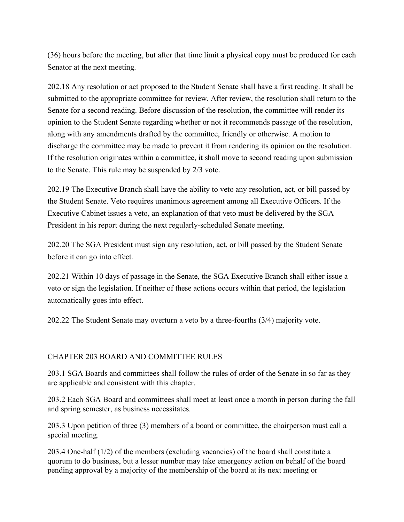(36) hours before the meeting, but after that time limit a physical copy must be produced for each Senator at the next meeting.

202.18 Any resolution or act proposed to the Student Senate shall have a first reading. It shall be submitted to the appropriate committee for review. After review, the resolution shall return to the Senate for a second reading. Before discussion of the resolution, the committee will render its opinion to the Student Senate regarding whether or not it recommends passage of the resolution, along with any amendments drafted by the committee, friendly or otherwise. A motion to discharge the committee may be made to prevent it from rendering its opinion on the resolution. If the resolution originates within a committee, it shall move to second reading upon submission to the Senate. This rule may be suspended by 2/3 vote.

202.19 The Executive Branch shall have the ability to veto any resolution, act, or bill passed by the Student Senate. Veto requires unanimous agreement among all Executive Officers. If the Executive Cabinet issues a veto, an explanation of that veto must be delivered by the SGA President in his report during the next regularly-scheduled Senate meeting.

202.20 The SGA President must sign any resolution, act, or bill passed by the Student Senate before it can go into effect.

202.21 Within 10 days of passage in the Senate, the SGA Executive Branch shall either issue a veto or sign the legislation. If neither of these actions occurs within that period, the legislation automatically goes into effect.

202.22 The Student Senate may overturn a veto by a three-fourths (3/4) majority vote.

# CHAPTER 203 BOARD AND COMMITTEE RULES

203.1 SGA Boards and committees shall follow the rules of order of the Senate in so far as they are applicable and consistent with this chapter.

203.2 Each SGA Board and committees shall meet at least once a month in person during the fall and spring semester, as business necessitates.

203.3 Upon petition of three (3) members of a board or committee, the chairperson must call a special meeting.

203.4 One-half (1/2) of the members (excluding vacancies) of the board shall constitute a quorum to do business, but a lesser number may take emergency action on behalf of the board pending approval by a majority of the membership of the board at its next meeting or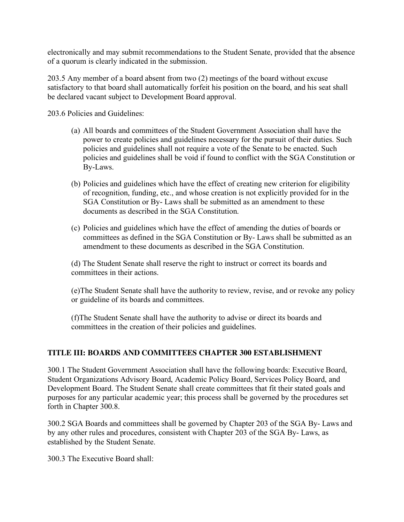electronically and may submit recommendations to the Student Senate, provided that the absence of a quorum is clearly indicated in the submission.

203.5 Any member of a board absent from two (2) meetings of the board without excuse satisfactory to that board shall automatically forfeit his position on the board, and his seat shall be declared vacant subject to Development Board approval.

203.6 Policies and Guidelines:

- (a) All boards and committees of the Student Government Association shall have the power to create policies and guidelines necessary for the pursuit of their duties. Such policies and guidelines shall not require a vote of the Senate to be enacted. Such policies and guidelines shall be void if found to conflict with the SGA Constitution or By-Laws.
- (b) Policies and guidelines which have the effect of creating new criterion for eligibility of recognition, funding, etc., and whose creation is not explicitly provided for in the SGA Constitution or By- Laws shall be submitted as an amendment to these documents as described in the SGA Constitution.
- (c) Policies and guidelines which have the effect of amending the duties of boards or committees as defined in the SGA Constitution or By- Laws shall be submitted as an amendment to these documents as described in the SGA Constitution.

(d) The Student Senate shall reserve the right to instruct or correct its boards and committees in their actions.

(e)The Student Senate shall have the authority to review, revise, and or revoke any policy or guideline of its boards and committees.

(f)The Student Senate shall have the authority to advise or direct its boards and committees in the creation of their policies and guidelines.

# **TITLE III: BOARDS AND COMMITTEES CHAPTER 300 ESTABLISHMENT**

300.1 The Student Government Association shall have the following boards: Executive Board, Student Organizations Advisory Board, Academic Policy Board, Services Policy Board, and Development Board. The Student Senate shall create committees that fit their stated goals and purposes for any particular academic year; this process shall be governed by the procedures set forth in Chapter 300.8.

300.2 SGA Boards and committees shall be governed by Chapter 203 of the SGA By- Laws and by any other rules and procedures, consistent with Chapter 203 of the SGA By- Laws, as established by the Student Senate.

300.3 The Executive Board shall: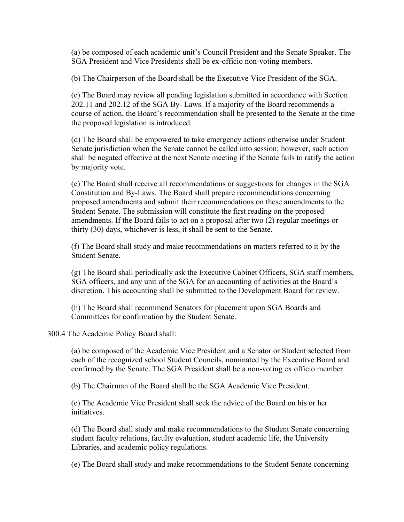(a) be composed of each academic unit's Council President and the Senate Speaker. The SGA President and Vice Presidents shall be ex-officio non-voting members.

(b) The Chairperson of the Board shall be the Executive Vice President of the SGA.

(c) The Board may review all pending legislation submitted in accordance with Section 202.11 and 202.12 of the SGA By- Laws. If a majority of the Board recommends a course of action, the Board's recommendation shall be presented to the Senate at the time the proposed legislation is introduced.

(d) The Board shall be empowered to take emergency actions otherwise under Student Senate jurisdiction when the Senate cannot be called into session; however, such action shall be negated effective at the next Senate meeting if the Senate fails to ratify the action by majority vote.

(e) The Board shall receive all recommendations or suggestions for changes in the SGA Constitution and By-Laws. The Board shall prepare recommendations concerning proposed amendments and submit their recommendations on these amendments to the Student Senate. The submission will constitute the first reading on the proposed amendments. If the Board fails to act on a proposal after two (2) regular meetings or thirty (30) days, whichever is less, it shall be sent to the Senate.

(f) The Board shall study and make recommendations on matters referred to it by the Student Senate.

(g) The Board shall periodically ask the Executive Cabinet Officers, SGA staff members, SGA officers, and any unit of the SGA for an accounting of activities at the Board's discretion. This accounting shall be submitted to the Development Board for review.

(h) The Board shall recommend Senators for placement upon SGA Boards and Committees for confirmation by the Student Senate.

300.4 The Academic Policy Board shall:

(a) be composed of the Academic Vice President and a Senator or Student selected from each of the recognized school Student Councils, nominated by the Executive Board and confirmed by the Senate. The SGA President shall be a non-voting ex officio member.

(b) The Chairman of the Board shall be the SGA Academic Vice President.

(c) The Academic Vice President shall seek the advice of the Board on his or her initiatives.

(d) The Board shall study and make recommendations to the Student Senate concerning student faculty relations, faculty evaluation, student academic life, the University Libraries, and academic policy regulations.

(e) The Board shall study and make recommendations to the Student Senate concerning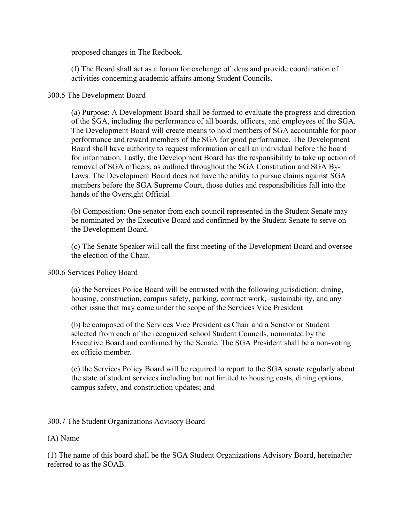proposed changes in The Redbook.

(f) The Board shall act as a forum for exchange of ideas and provide coordination of activities concerning academic affairs among Student Councils.

## 300.5 The Development Board

(a) Purpose: A Development Board shall be formed to evaluate the progress and direction of the SGA, including the performance of all boards, officers, and employees of the SGA. The Development Board will create means to hold members of SGA accountable for poor performance and reward members of the SGA for good performance. The Development Board shall have authority to request information or call an individual before the board for information. Lastly, the Development Board has the responsibility to take up action of removal of SGA officers, as outlined throughout the SGA Constitution and SGA By-Laws. The Development Board does not have the ability to pursue claims against SGA members before the SGA Supreme Court, those duties and responsibilities fall into the hands of the Oversight Official

(b) Composition: One senator from each council represented in the Student Senate may be nominated by the Executive Board and confirmed by the Student Senate to serve on the Development Board.

(c) The Senate Speaker will call the first meeting of the Development Board and oversee the election of the Chair.

300.6 Services Policy Board

(a) the Services Police Board will be entrusted with the following jurisdiction: dining, housing, construction, campus safety, parking, contract work, sustainability, and any other issue that may come under the scope of the Services Vice President

(b) be composed of the Services Vice President as Chair and a Senator or Student selected from each of the recognized school Student Councils, nominated by the Executive Board and confirmed by the Senate. The SGA President shall be a non-voting ex officio member.

(c) the Services Policy Board will be required to report to the SGA senate regularly about the state of student services including but not limited to housing costs, dining options, campus safety, and construction updates; and

300.7 The Student Organizations Advisory Board

(A) Name

(1) The name of this board shall be the SGA Student Organizations Advisory Board, hereinafter referred to as the SOAB.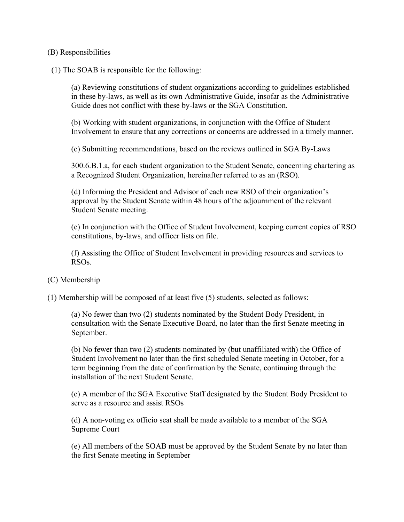#### (B) Responsibilities

(1) The SOAB is responsible for the following:

(a) Reviewing constitutions of student organizations according to guidelines established in these by-laws, as well as its own Administrative Guide, insofar as the Administrative Guide does not conflict with these by-laws or the SGA Constitution.

(b) Working with student organizations, in conjunction with the Office of Student Involvement to ensure that any corrections or concerns are addressed in a timely manner.

(c) Submitting recommendations, based on the reviews outlined in SGA By-Laws

300.6.B.1.a, for each student organization to the Student Senate, concerning chartering as a Recognized Student Organization, hereinafter referred to as an (RSO).

(d) Informing the President and Advisor of each new RSO of their organization's approval by the Student Senate within 48 hours of the adjournment of the relevant Student Senate meeting.

(e) In conjunction with the Office of Student Involvement, keeping current copies of RSO constitutions, by-laws, and officer lists on file.

(f) Assisting the Office of Student Involvement in providing resources and services to RSOs.

(C) Membership

(1) Membership will be composed of at least five (5) students, selected as follows:

(a) No fewer than two (2) students nominated by the Student Body President, in consultation with the Senate Executive Board, no later than the first Senate meeting in September.

(b) No fewer than two (2) students nominated by (but unaffiliated with) the Office of Student Involvement no later than the first scheduled Senate meeting in October, for a term beginning from the date of confirmation by the Senate, continuing through the installation of the next Student Senate.

(c) A member of the SGA Executive Staff designated by the Student Body President to serve as a resource and assist RSOs

(d) A non-voting ex officio seat shall be made available to a member of the SGA Supreme Court

(e) All members of the SOAB must be approved by the Student Senate by no later than the first Senate meeting in September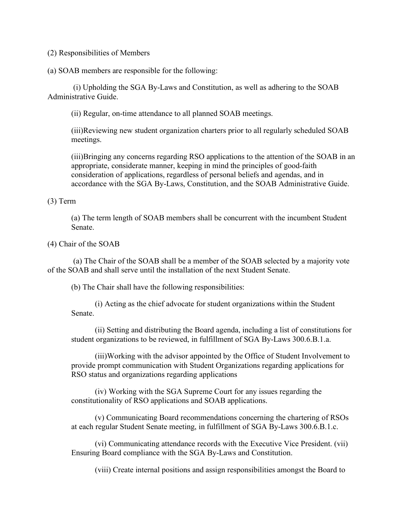(2) Responsibilities of Members

(a) SOAB members are responsible for the following:

(i) Upholding the SGA By-Laws and Constitution, as well as adhering to the SOAB Administrative Guide.

(ii) Regular, on-time attendance to all planned SOAB meetings.

(iii)Reviewing new student organization charters prior to all regularly scheduled SOAB meetings.

(iii)Bringing any concerns regarding RSO applications to the attention of the SOAB in an appropriate, considerate manner, keeping in mind the principles of good-faith consideration of applications, regardless of personal beliefs and agendas, and in accordance with the SGA By-Laws, Constitution, and the SOAB Administrative Guide.

#### (3) Term

(a) The term length of SOAB members shall be concurrent with the incumbent Student Senate.

#### (4) Chair of the SOAB

(a) The Chair of the SOAB shall be a member of the SOAB selected by a majority vote of the SOAB and shall serve until the installation of the next Student Senate.

(b) The Chair shall have the following responsibilities:

(i) Acting as the chief advocate for student organizations within the Student Senate.

(ii) Setting and distributing the Board agenda, including a list of constitutions for student organizations to be reviewed, in fulfillment of SGA By-Laws 300.6.B.1.a.

(iii)Working with the advisor appointed by the Office of Student Involvement to provide prompt communication with Student Organizations regarding applications for RSO status and organizations regarding applications

(iv) Working with the SGA Supreme Court for any issues regarding the constitutionality of RSO applications and SOAB applications.

(v) Communicating Board recommendations concerning the chartering of RSOs at each regular Student Senate meeting, in fulfillment of SGA By-Laws 300.6.B.1.c.

(vi) Communicating attendance records with the Executive Vice President. (vii) Ensuring Board compliance with the SGA By-Laws and Constitution.

(viii) Create internal positions and assign responsibilities amongst the Board to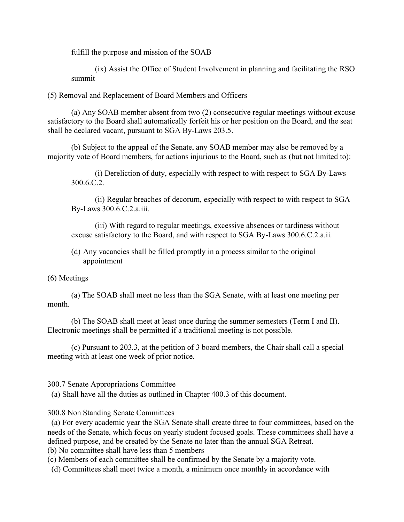fulfill the purpose and mission of the SOAB

(ix) Assist the Office of Student Involvement in planning and facilitating the RSO summit

(5) Removal and Replacement of Board Members and Officers

(a) Any SOAB member absent from two (2) consecutive regular meetings without excuse satisfactory to the Board shall automatically forfeit his or her position on the Board, and the seat shall be declared vacant, pursuant to SGA By-Laws 203.5.

(b) Subject to the appeal of the Senate, any SOAB member may also be removed by a majority vote of Board members, for actions injurious to the Board, such as (but not limited to):

(i) Dereliction of duty, especially with respect to with respect to SGA By-Laws 300.6.C.2.

(ii) Regular breaches of decorum, especially with respect to with respect to SGA By-Laws 300.6.C.2.a.iii.

(iii) With regard to regular meetings, excessive absences or tardiness without excuse satisfactory to the Board, and with respect to SGA By-Laws 300.6.C.2.a.ii.

(d) Any vacancies shall be filled promptly in a process similar to the original appointment

# (6) Meetings

(a) The SOAB shall meet no less than the SGA Senate, with at least one meeting per month.

(b) The SOAB shall meet at least once during the summer semesters (Term I and II). Electronic meetings shall be permitted if a traditional meeting is not possible.

(c) Pursuant to 203.3, at the petition of 3 board members, the Chair shall call a special meeting with at least one week of prior notice.

# 300.7 Senate Appropriations Committee

(a) Shall have all the duties as outlined in Chapter 400.3 of this document.

# 300.8 Non Standing Senate Committees

(a) For every academic year the SGA Senate shall create three to four committees, based on the needs of the Senate, which focus on yearly student focused goals. These committees shall have a defined purpose, and be created by the Senate no later than the annual SGA Retreat.

(b) No committee shall have less than 5 members

(c) Members of each committee shall be confirmed by the Senate by a majority vote.

(d) Committees shall meet twice a month, a minimum once monthly in accordance with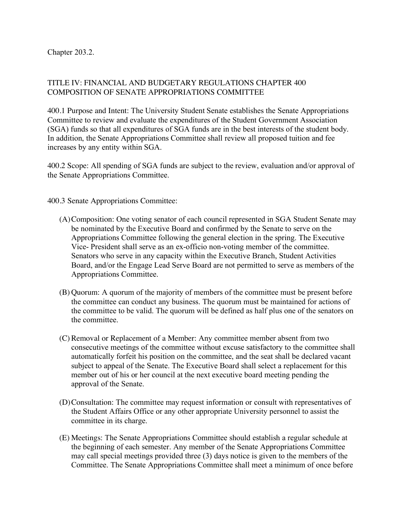Chapter 203.2.

# TITLE IV: FINANCIAL AND BUDGETARY REGULATIONS CHAPTER 400 COMPOSITION OF SENATE APPROPRIATIONS COMMITTEE

400.1 Purpose and Intent: The University Student Senate establishes the Senate Appropriations Committee to review and evaluate the expenditures of the Student Government Association (SGA) funds so that all expenditures of SGA funds are in the best interests of the student body. In addition, the Senate Appropriations Committee shall review all proposed tuition and fee increases by any entity within SGA.

400.2 Scope: All spending of SGA funds are subject to the review, evaluation and/or approval of the Senate Appropriations Committee.

400.3 Senate Appropriations Committee:

- (A)Composition: One voting senator of each council represented in SGA Student Senate may be nominated by the Executive Board and confirmed by the Senate to serve on the Appropriations Committee following the general election in the spring. The Executive Vice- President shall serve as an ex-officio non-voting member of the committee. Senators who serve in any capacity within the Executive Branch, Student Activities Board, and/or the Engage Lead Serve Board are not permitted to serve as members of the Appropriations Committee.
- (B) Quorum: A quorum of the majority of members of the committee must be present before the committee can conduct any business. The quorum must be maintained for actions of the committee to be valid. The quorum will be defined as half plus one of the senators on the committee.
- (C) Removal or Replacement of a Member: Any committee member absent from two consecutive meetings of the committee without excuse satisfactory to the committee shall automatically forfeit his position on the committee, and the seat shall be declared vacant subject to appeal of the Senate. The Executive Board shall select a replacement for this member out of his or her council at the next executive board meeting pending the approval of the Senate.
- (D)Consultation: The committee may request information or consult with representatives of the Student Affairs Office or any other appropriate University personnel to assist the committee in its charge.
- (E) Meetings: The Senate Appropriations Committee should establish a regular schedule at the beginning of each semester. Any member of the Senate Appropriations Committee may call special meetings provided three (3) days notice is given to the members of the Committee. The Senate Appropriations Committee shall meet a minimum of once before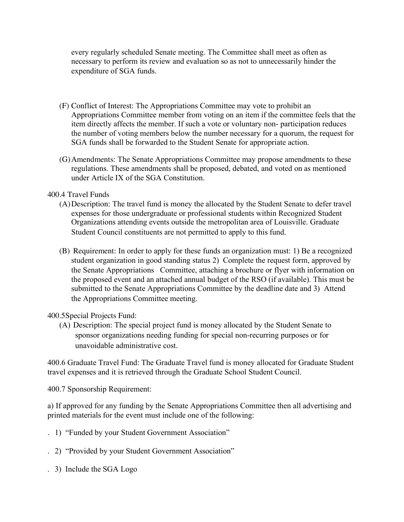every regularly scheduled Senate meeting. The Committee shall meet as often as necessary to perform its review and evaluation so as not to unnecessarily hinder the expenditure of SGA funds.

- (F) Conflict of Interest: The Appropriations Committee may vote to prohibit an Appropriations Committee member from voting on an item if the committee feels that the item directly affects the member. If such a vote or voluntary non- participation reduces the number of voting members below the number necessary for a quorum, the request for SGA funds shall be forwarded to the Student Senate for appropriate action.
- (G)Amendments: The Senate Appropriations Committee may propose amendments to these regulations. These amendments shall be proposed, debated, and voted on as mentioned under Article IX of the SGA Constitution.

## 400.4 Travel Funds

- (A)Description: The travel fund is money the allocated by the Student Senate to defer travel expenses for those undergraduate or professional students within Recognized Student Organizations attending events outside the metropolitan area of Louisville. Graduate Student Council constituents are not permitted to apply to this fund.
- (B) Requirement: In order to apply for these funds an organization must: 1) Be a recognized student organization in good standing status 2) Complete the request form, approved by the Senate Appropriations Committee, attaching a brochure or flyer with information on the proposed event and an attached annual budget of the RSO (if available). This must be submitted to the Senate Appropriations Committee by the deadline date and 3) Attend the Appropriations Committee meeting.

# 400.5Special Projects Fund:

(A) Description: The special project fund is money allocated by the Student Senate to sponsor organizations needing funding for special non-recurring purposes or for unavoidable administrative cost.

400.6 Graduate Travel Fund: The Graduate Travel fund is money allocated for Graduate Student travel expenses and it is retrieved through the Graduate School Student Council.

400.7 Sponsorship Requirement:

a) If approved for any funding by the Senate Appropriations Committee then all advertising and printed materials for the event must include one of the following:

- . 1) "Funded by your Student Government Association"
- . 2) "Provided by your Student Government Association"
- . 3) Include the SGA Logo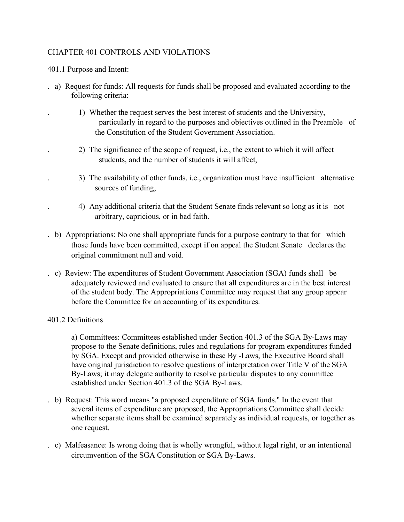# CHAPTER 401 CONTROLS AND VIOLATIONS

401.1 Purpose and Intent:

- . a) Request for funds: All requests for funds shall be proposed and evaluated according to the following criteria:
	- . 1) Whether the request serves the best interest of students and the University, particularly in regard to the purposes and objectives outlined in the Preamble of the Constitution of the Student Government Association.
	- . 2) The significance of the scope of request, i.e., the extent to which it will affect students, and the number of students it will affect,
	- . 3) The availability of other funds, i.e., organization must have insufficient alternative sources of funding,
	- . 4) Any additional criteria that the Student Senate finds relevant so long as it is not arbitrary, capricious, or in bad faith.
- . b) Appropriations: No one shall appropriate funds for a purpose contrary to that for which those funds have been committed, except if on appeal the Student Senate declares the original commitment null and void.
- . c) Review: The expenditures of Student Government Association (SGA) funds shall be adequately reviewed and evaluated to ensure that all expenditures are in the best interest of the student body. The Appropriations Committee may request that any group appear before the Committee for an accounting of its expenditures.

#### 401.2 Definitions

a) Committees: Committees established under Section 401.3 of the SGA By-Laws may propose to the Senate definitions, rules and regulations for program expenditures funded by SGA. Except and provided otherwise in these By -Laws, the Executive Board shall have original jurisdiction to resolve questions of interpretation over Title V of the SGA By-Laws; it may delegate authority to resolve particular disputes to any committee established under Section 401.3 of the SGA By-Laws.

- . b) Request: This word means "a proposed expenditure of SGA funds." In the event that several items of expenditure are proposed, the Appropriations Committee shall decide whether separate items shall be examined separately as individual requests, or together as one request.
- . c) Malfeasance: Is wrong doing that is wholly wrongful, without legal right, or an intentional circumvention of the SGA Constitution or SGA By-Laws.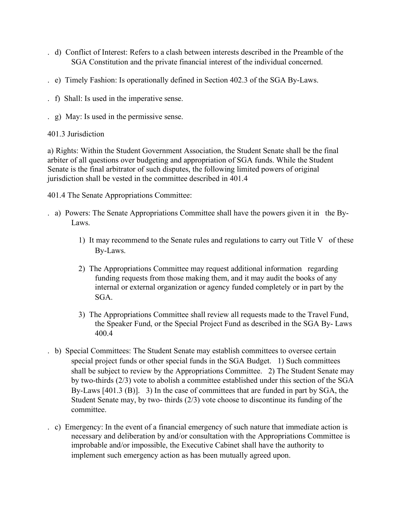- . d) Conflict of Interest: Refers to a clash between interests described in the Preamble of the SGA Constitution and the private financial interest of the individual concerned.
- . e) Timely Fashion: Is operationally defined in Section 402.3 of the SGA By-Laws.
- . f) Shall: Is used in the imperative sense.
- . g) May: Is used in the permissive sense.
- 401.3 Jurisdiction

a) Rights: Within the Student Government Association, the Student Senate shall be the final arbiter of all questions over budgeting and appropriation of SGA funds. While the Student Senate is the final arbitrator of such disputes, the following limited powers of original jurisdiction shall be vested in the committee described in 401.4

401.4 The Senate Appropriations Committee:

- . a) Powers: The Senate Appropriations Committee shall have the powers given it in the By-Laws.
	- 1) It may recommend to the Senate rules and regulations to carry out Title V of these By-Laws.
	- 2) The Appropriations Committee may request additional information regarding funding requests from those making them, and it may audit the books of any internal or external organization or agency funded completely or in part by the SGA.
	- 3) The Appropriations Committee shall review all requests made to the Travel Fund, the Speaker Fund, or the Special Project Fund as described in the SGA By- Laws 400.4
- . b) Special Committees: The Student Senate may establish committees to oversee certain special project funds or other special funds in the SGA Budget. 1) Such committees shall be subject to review by the Appropriations Committee. 2) The Student Senate may by two-thirds (2/3) vote to abolish a committee established under this section of the SGA By-Laws [401.3 (B)]. 3) In the case of committees that are funded in part by SGA, the Student Senate may, by two- thirds (2/3) vote choose to discontinue its funding of the committee.
- . c) Emergency: In the event of a financial emergency of such nature that immediate action is necessary and deliberation by and/or consultation with the Appropriations Committee is improbable and/or impossible, the Executive Cabinet shall have the authority to implement such emergency action as has been mutually agreed upon.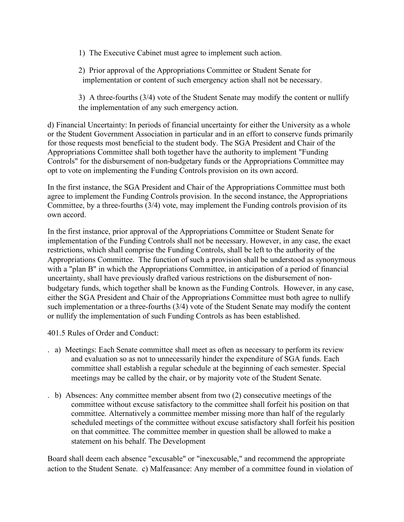- 1) The Executive Cabinet must agree to implement such action.
- 2) Prior approval of the Appropriations Committee or Student Senate for implementation or content of such emergency action shall not be necessary.
- 3) A three-fourths (3/4) vote of the Student Senate may modify the content or nullify the implementation of any such emergency action.

d) Financial Uncertainty: In periods of financial uncertainty for either the University as a whole or the Student Government Association in particular and in an effort to conserve funds primarily for those requests most beneficial to the student body. The SGA President and Chair of the Appropriations Committee shall both together have the authority to implement "Funding Controls" for the disbursement of non-budgetary funds or the Appropriations Committee may opt to vote on implementing the Funding Controls provision on its own accord.

In the first instance, the SGA President and Chair of the Appropriations Committee must both agree to implement the Funding Controls provision. In the second instance, the Appropriations Committee, by a three-fourths (3/4) vote, may implement the Funding controls provision of its own accord.

In the first instance, prior approval of the Appropriations Committee or Student Senate for implementation of the Funding Controls shall not be necessary. However, in any case, the exact restrictions, which shall comprise the Funding Controls, shall be left to the authority of the Appropriations Committee. The function of such a provision shall be understood as synonymous with a "plan B" in which the Appropriations Committee, in anticipation of a period of financial uncertainty, shall have previously drafted various restrictions on the disbursement of nonbudgetary funds, which together shall be known as the Funding Controls. However, in any case, either the SGA President and Chair of the Appropriations Committee must both agree to nullify such implementation or a three-fourths (3/4) vote of the Student Senate may modify the content or nullify the implementation of such Funding Controls as has been established.

401.5 Rules of Order and Conduct:

- . a) Meetings: Each Senate committee shall meet as often as necessary to perform its review and evaluation so as not to unnecessarily hinder the expenditure of SGA funds. Each committee shall establish a regular schedule at the beginning of each semester. Special meetings may be called by the chair, or by majority vote of the Student Senate.
- . b) Absences: Any committee member absent from two (2) consecutive meetings of the committee without excuse satisfactory to the committee shall forfeit his position on that committee. Alternatively a committee member missing more than half of the regularly scheduled meetings of the committee without excuse satisfactory shall forfeit his position on that committee. The committee member in question shall be allowed to make a statement on his behalf. The Development

Board shall deem each absence "excusable" or "inexcusable," and recommend the appropriate action to the Student Senate. c) Malfeasance: Any member of a committee found in violation of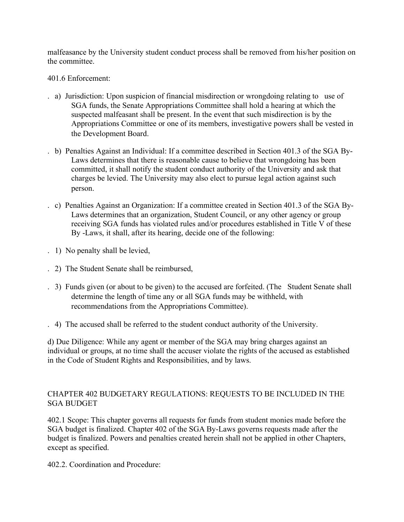malfeasance by the University student conduct process shall be removed from his/her position on the committee.

401.6 Enforcement:

- . a) Jurisdiction: Upon suspicion of financial misdirection or wrongdoing relating to use of SGA funds, the Senate Appropriations Committee shall hold a hearing at which the suspected malfeasant shall be present. In the event that such misdirection is by the Appropriations Committee or one of its members, investigative powers shall be vested in the Development Board.
- . b) Penalties Against an Individual: If a committee described in Section 401.3 of the SGA By-Laws determines that there is reasonable cause to believe that wrongdoing has been committed, it shall notify the student conduct authority of the University and ask that charges be levied. The University may also elect to pursue legal action against such person.
- . c) Penalties Against an Organization: If a committee created in Section 401.3 of the SGA By-Laws determines that an organization, Student Council, or any other agency or group receiving SGA funds has violated rules and/or procedures established in Title V of these By -Laws, it shall, after its hearing, decide one of the following:
- . 1) No penalty shall be levied,
- . 2) The Student Senate shall be reimbursed,
- . 3) Funds given (or about to be given) to the accused are forfeited. (The Student Senate shall determine the length of time any or all SGA funds may be withheld, with recommendations from the Appropriations Committee).
- . 4) The accused shall be referred to the student conduct authority of the University.

d) Due Diligence: While any agent or member of the SGA may bring charges against an individual or groups, at no time shall the accuser violate the rights of the accused as established in the Code of Student Rights and Responsibilities, and by laws.

# CHAPTER 402 BUDGETARY REGULATIONS: REQUESTS TO BE INCLUDED IN THE SGA BUDGET

402.1 Scope: This chapter governs all requests for funds from student monies made before the SGA budget is finalized. Chapter 402 of the SGA By-Laws governs requests made after the budget is finalized. Powers and penalties created herein shall not be applied in other Chapters, except as specified.

402.2. Coordination and Procedure: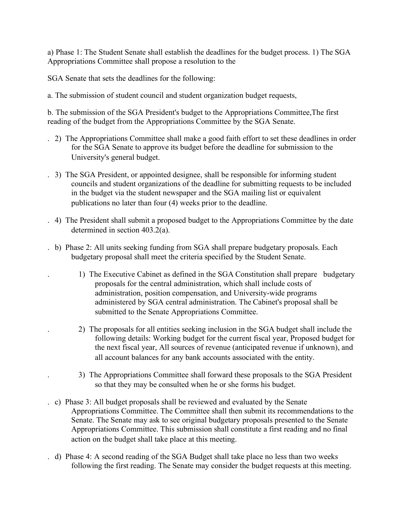a) Phase 1: The Student Senate shall establish the deadlines for the budget process. 1) The SGA Appropriations Committee shall propose a resolution to the

SGA Senate that sets the deadlines for the following:

a. The submission of student council and student organization budget requests,

b. The submission of the SGA President's budget to the Appropriations Committee,The first reading of the budget from the Appropriations Committee by the SGA Senate.

- . 2) The Appropriations Committee shall make a good faith effort to set these deadlines in order for the SGA Senate to approve its budget before the deadline for submission to the University's general budget.
- . 3) The SGA President, or appointed designee, shall be responsible for informing student councils and student organizations of the deadline for submitting requests to be included in the budget via the student newspaper and the SGA mailing list or equivalent publications no later than four (4) weeks prior to the deadline.
- . 4) The President shall submit a proposed budget to the Appropriations Committee by the date determined in section 403.2(a).
- . b) Phase 2: All units seeking funding from SGA shall prepare budgetary proposals. Each budgetary proposal shall meet the criteria specified by the Student Senate.
	- . 1) The Executive Cabinet as defined in the SGA Constitution shall prepare budgetary proposals for the central administration, which shall include costs of administration, position compensation, and University-wide programs administered by SGA central administration. The Cabinet's proposal shall be submitted to the Senate Appropriations Committee.
	- . 2) The proposals for all entities seeking inclusion in the SGA budget shall include the following details: Working budget for the current fiscal year, Proposed budget for the next fiscal year, All sources of revenue (anticipated revenue if unknown), and all account balances for any bank accounts associated with the entity.
	- . 3) The Appropriations Committee shall forward these proposals to the SGA President so that they may be consulted when he or she forms his budget.
- . c) Phase 3: All budget proposals shall be reviewed and evaluated by the Senate Appropriations Committee. The Committee shall then submit its recommendations to the Senate. The Senate may ask to see original budgetary proposals presented to the Senate Appropriations Committee. This submission shall constitute a first reading and no final action on the budget shall take place at this meeting.
- . d) Phase 4: A second reading of the SGA Budget shall take place no less than two weeks following the first reading. The Senate may consider the budget requests at this meeting.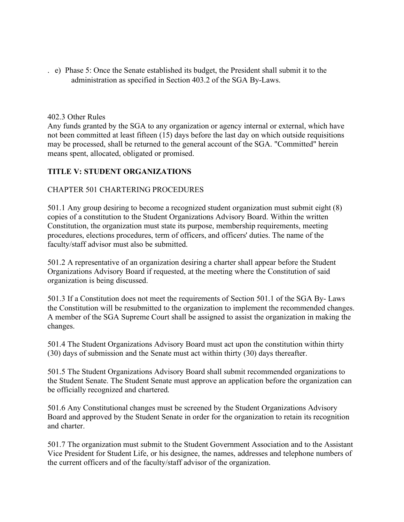. e) Phase 5: Once the Senate established its budget, the President shall submit it to the administration as specified in Section 403.2 of the SGA By-Laws.

#### 402.3 Other Rules

Any funds granted by the SGA to any organization or agency internal or external, which have not been committed at least fifteen (15) days before the last day on which outside requisitions may be processed, shall be returned to the general account of the SGA. "Committed" herein means spent, allocated, obligated or promised.

# **TITLE V: STUDENT ORGANIZATIONS**

## CHAPTER 501 CHARTERING PROCEDURES

501.1 Any group desiring to become a recognized student organization must submit eight (8) copies of a constitution to the Student Organizations Advisory Board. Within the written Constitution, the organization must state its purpose, membership requirements, meeting procedures, elections procedures, term of officers, and officers' duties. The name of the faculty/staff advisor must also be submitted.

501.2 A representative of an organization desiring a charter shall appear before the Student Organizations Advisory Board if requested, at the meeting where the Constitution of said organization is being discussed.

501.3 If a Constitution does not meet the requirements of Section 501.1 of the SGA By- Laws the Constitution will be resubmitted to the organization to implement the recommended changes. A member of the SGA Supreme Court shall be assigned to assist the organization in making the changes.

501.4 The Student Organizations Advisory Board must act upon the constitution within thirty (30) days of submission and the Senate must act within thirty (30) days thereafter.

501.5 The Student Organizations Advisory Board shall submit recommended organizations to the Student Senate. The Student Senate must approve an application before the organization can be officially recognized and chartered.

501.6 Any Constitutional changes must be screened by the Student Organizations Advisory Board and approved by the Student Senate in order for the organization to retain its recognition and charter.

501.7 The organization must submit to the Student Government Association and to the Assistant Vice President for Student Life, or his designee, the names, addresses and telephone numbers of the current officers and of the faculty/staff advisor of the organization.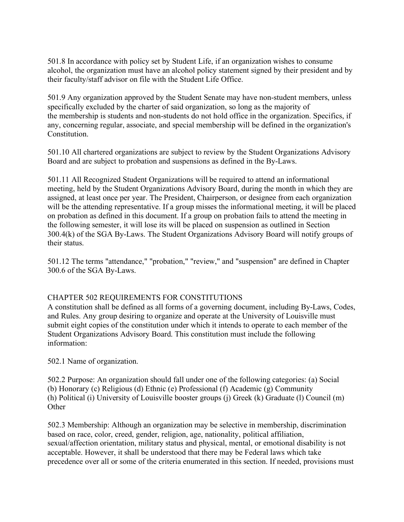501.8 In accordance with policy set by Student Life, if an organization wishes to consume alcohol, the organization must have an alcohol policy statement signed by their president and by their faculty/staff advisor on file with the Student Life Office.

501.9 Any organization approved by the Student Senate may have non-student members, unless specifically excluded by the charter of said organization, so long as the majority of the membership is students and non-students do not hold office in the organization. Specifics, if any, concerning regular, associate, and special membership will be defined in the organization's Constitution.

501.10 All chartered organizations are subject to review by the Student Organizations Advisory Board and are subject to probation and suspensions as defined in the By-Laws.

501.11 All Recognized Student Organizations will be required to attend an informational meeting, held by the Student Organizations Advisory Board, during the month in which they are assigned, at least once per year. The President, Chairperson, or designee from each organization will be the attending representative. If a group misses the informational meeting, it will be placed on probation as defined in this document. If a group on probation fails to attend the meeting in the following semester, it will lose its will be placed on suspension as outlined in Section 300.4(k) of the SGA By-Laws. The Student Organizations Advisory Board will notify groups of their status.

501.12 The terms "attendance," "probation," "review," and "suspension" are defined in Chapter 300.6 of the SGA By-Laws.

#### CHAPTER 502 REQUIREMENTS FOR CONSTITUTIONS

A constitution shall be defined as all forms of a governing document, including By-Laws, Codes, and Rules. Any group desiring to organize and operate at the University of Louisville must submit eight copies of the constitution under which it intends to operate to each member of the Student Organizations Advisory Board. This constitution must include the following information:

502.1 Name of organization.

502.2 Purpose: An organization should fall under one of the following categories: (a) Social (b) Honorary (c) Religious (d) Ethnic (e) Professional (f) Academic (g) Community (h) Political (i) University of Louisville booster groups (j) Greek (k) Graduate (l) Council (m) **Other** 

502.3 Membership: Although an organization may be selective in membership, discrimination based on race, color, creed, gender, religion, age, nationality, political affiliation, sexual/affection orientation, military status and physical, mental, or emotional disability is not acceptable. However, it shall be understood that there may be Federal laws which take precedence over all or some of the criteria enumerated in this section. If needed, provisions must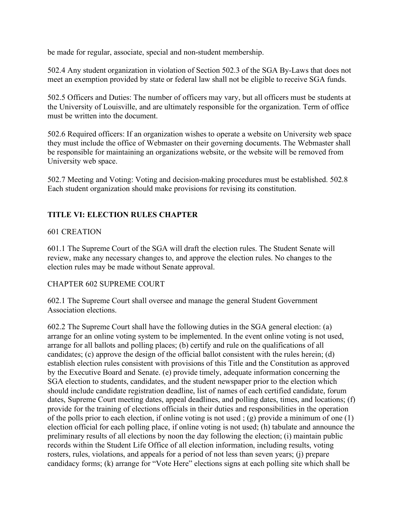be made for regular, associate, special and non-student membership.

502.4 Any student organization in violation of Section 502.3 of the SGA By-Laws that does not meet an exemption provided by state or federal law shall not be eligible to receive SGA funds.

502.5 Officers and Duties: The number of officers may vary, but all officers must be students at the University of Louisville, and are ultimately responsible for the organization. Term of office must be written into the document.

502.6 Required officers: If an organization wishes to operate a website on University web space they must include the office of Webmaster on their governing documents. The Webmaster shall be responsible for maintaining an organizations website, or the website will be removed from University web space.

502.7 Meeting and Voting: Voting and decision-making procedures must be established. 502.8 Each student organization should make provisions for revising its constitution.

# **TITLE VI: ELECTION RULES CHAPTER**

# 601 CREATION

601.1 The Supreme Court of the SGA will draft the election rules. The Student Senate will review, make any necessary changes to, and approve the election rules. No changes to the election rules may be made without Senate approval.

# CHAPTER 602 SUPREME COURT

602.1 The Supreme Court shall oversee and manage the general Student Government Association elections.

602.2 The Supreme Court shall have the following duties in the SGA general election: (a) arrange for an online voting system to be implemented. In the event online voting is not used, arrange for all ballots and polling places; (b) certify and rule on the qualifications of all candidates; (c) approve the design of the official ballot consistent with the rules herein; (d) establish election rules consistent with provisions of this Title and the Constitution as approved by the Executive Board and Senate. (e) provide timely, adequate information concerning the SGA election to students, candidates, and the student newspaper prior to the election which should include candidate registration deadline, list of names of each certified candidate, forum dates, Supreme Court meeting dates, appeal deadlines, and polling dates, times, and locations; (f) provide for the training of elections officials in their duties and responsibilities in the operation of the polls prior to each election, if online voting is not used ; (g) provide a minimum of one (1) election official for each polling place, if online voting is not used; (h) tabulate and announce the preliminary results of all elections by noon the day following the election; (i) maintain public records within the Student Life Office of all election information, including results, voting rosters, rules, violations, and appeals for a period of not less than seven years; (j) prepare candidacy forms; (k) arrange for "Vote Here" elections signs at each polling site which shall be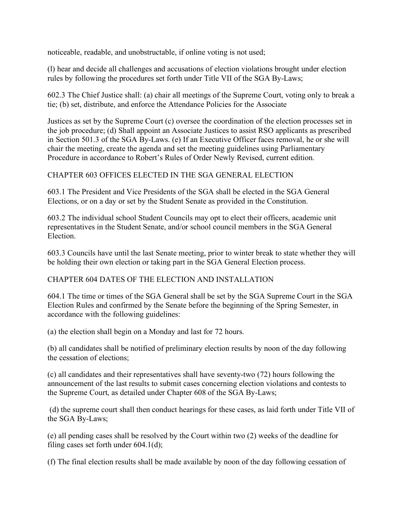noticeable, readable, and unobstructable, if online voting is not used;

(l) hear and decide all challenges and accusations of election violations brought under election rules by following the procedures set forth under Title VII of the SGA By-Laws;

602.3 The Chief Justice shall: (a) chair all meetings of the Supreme Court, voting only to break a tie; (b) set, distribute, and enforce the Attendance Policies for the Associate

Justices as set by the Supreme Court (c) oversee the coordination of the election processes set in the job procedure; (d) Shall appoint an Associate Justices to assist RSO applicants as prescribed in Section 501.3 of the SGA By-Laws. (e) If an Executive Officer faces removal, he or she will chair the meeting, create the agenda and set the meeting guidelines using Parliamentary Procedure in accordance to Robert's Rules of Order Newly Revised, current edition.

# CHAPTER 603 OFFICES ELECTED IN THE SGA GENERAL ELECTION

603.1 The President and Vice Presidents of the SGA shall be elected in the SGA General Elections, or on a day or set by the Student Senate as provided in the Constitution.

603.2 The individual school Student Councils may opt to elect their officers, academic unit representatives in the Student Senate, and/or school council members in the SGA General Election.

603.3 Councils have until the last Senate meeting, prior to winter break to state whether they will be holding their own election or taking part in the SGA General Election process.

# CHAPTER 604 DATES OF THE ELECTION AND INSTALLATION

604.1 The time or times of the SGA General shall be set by the SGA Supreme Court in the SGA Election Rules and confirmed by the Senate before the beginning of the Spring Semester, in accordance with the following guidelines:

(a) the election shall begin on a Monday and last for 72 hours.

(b) all candidates shall be notified of preliminary election results by noon of the day following the cessation of elections;

(c) all candidates and their representatives shall have seventy-two (72) hours following the announcement of the last results to submit cases concerning election violations and contests to the Supreme Court, as detailed under Chapter 608 of the SGA By-Laws;

(d) the supreme court shall then conduct hearings for these cases, as laid forth under Title VII of the SGA By-Laws;

(e) all pending cases shall be resolved by the Court within two (2) weeks of the deadline for filing cases set forth under 604.1(d);

(f) The final election results shall be made available by noon of the day following cessation of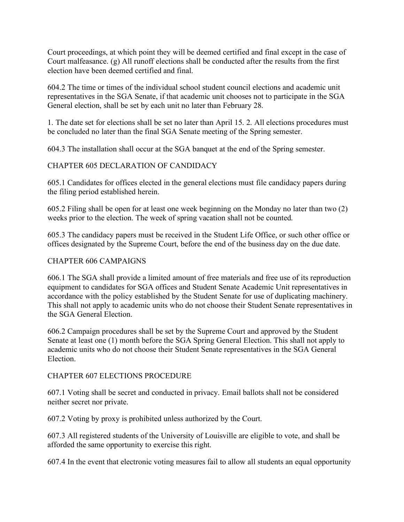Court proceedings, at which point they will be deemed certified and final except in the case of Court malfeasance. (g) All runoff elections shall be conducted after the results from the first election have been deemed certified and final.

604.2 The time or times of the individual school student council elections and academic unit representatives in the SGA Senate, if that academic unit chooses not to participate in the SGA General election, shall be set by each unit no later than February 28.

1. The date set for elections shall be set no later than April 15. 2. All elections procedures must be concluded no later than the final SGA Senate meeting of the Spring semester.

604.3 The installation shall occur at the SGA banquet at the end of the Spring semester.

# CHAPTER 605 DECLARATION OF CANDIDACY

605.1 Candidates for offices elected in the general elections must file candidacy papers during the filing period established herein.

605.2 Filing shall be open for at least one week beginning on the Monday no later than two (2) weeks prior to the election. The week of spring vacation shall not be counted.

605.3 The candidacy papers must be received in the Student Life Office, or such other office or offices designated by the Supreme Court, before the end of the business day on the due date.

#### CHAPTER 606 CAMPAIGNS

606.1 The SGA shall provide a limited amount of free materials and free use of its reproduction equipment to candidates for SGA offices and Student Senate Academic Unit representatives in accordance with the policy established by the Student Senate for use of duplicating machinery. This shall not apply to academic units who do not choose their Student Senate representatives in the SGA General Election.

606.2 Campaign procedures shall be set by the Supreme Court and approved by the Student Senate at least one (1) month before the SGA Spring General Election. This shall not apply to academic units who do not choose their Student Senate representatives in the SGA General Election.

#### CHAPTER 607 ELECTIONS PROCEDURE

607.1 Voting shall be secret and conducted in privacy. Email ballots shall not be considered neither secret nor private.

607.2 Voting by proxy is prohibited unless authorized by the Court.

607.3 All registered students of the University of Louisville are eligible to vote, and shall be afforded the same opportunity to exercise this right.

607.4 In the event that electronic voting measures fail to allow all students an equal opportunity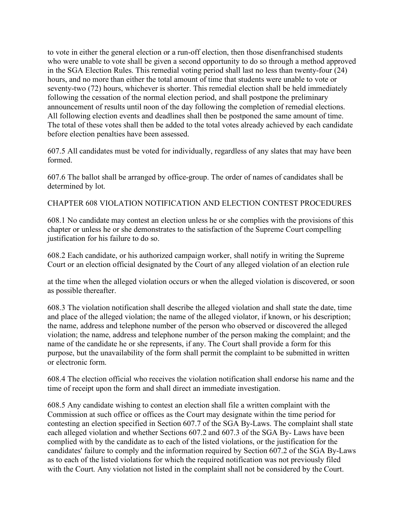to vote in either the general election or a run-off election, then those disenfranchised students who were unable to vote shall be given a second opportunity to do so through a method approved in the SGA Election Rules. This remedial voting period shall last no less than twenty-four (24) hours, and no more than either the total amount of time that students were unable to vote or seventy-two (72) hours, whichever is shorter. This remedial election shall be held immediately following the cessation of the normal election period, and shall postpone the preliminary announcement of results until noon of the day following the completion of remedial elections. All following election events and deadlines shall then be postponed the same amount of time. The total of these votes shall then be added to the total votes already achieved by each candidate before election penalties have been assessed.

607.5 All candidates must be voted for individually, regardless of any slates that may have been formed.

607.6 The ballot shall be arranged by office-group. The order of names of candidates shall be determined by lot.

CHAPTER 608 VIOLATION NOTIFICATION AND ELECTION CONTEST PROCEDURES

608.1 No candidate may contest an election unless he or she complies with the provisions of this chapter or unless he or she demonstrates to the satisfaction of the Supreme Court compelling justification for his failure to do so.

608.2 Each candidate, or his authorized campaign worker, shall notify in writing the Supreme Court or an election official designated by the Court of any alleged violation of an election rule

at the time when the alleged violation occurs or when the alleged violation is discovered, or soon as possible thereafter.

608.3 The violation notification shall describe the alleged violation and shall state the date, time and place of the alleged violation; the name of the alleged violator, if known, or his description; the name, address and telephone number of the person who observed or discovered the alleged violation; the name, address and telephone number of the person making the complaint; and the name of the candidate he or she represents, if any. The Court shall provide a form for this purpose, but the unavailability of the form shall permit the complaint to be submitted in written or electronic form.

608.4 The election official who receives the violation notification shall endorse his name and the time of receipt upon the form and shall direct an immediate investigation.

608.5 Any candidate wishing to contest an election shall file a written complaint with the Commission at such office or offices as the Court may designate within the time period for contesting an election specified in Section 607.7 of the SGA By-Laws. The complaint shall state each alleged violation and whether Sections 607.2 and 607.3 of the SGA By- Laws have been complied with by the candidate as to each of the listed violations, or the justification for the candidates' failure to comply and the information required by Section 607.2 of the SGA By-Laws as to each of the listed violations for which the required notification was not previously filed with the Court. Any violation not listed in the complaint shall not be considered by the Court.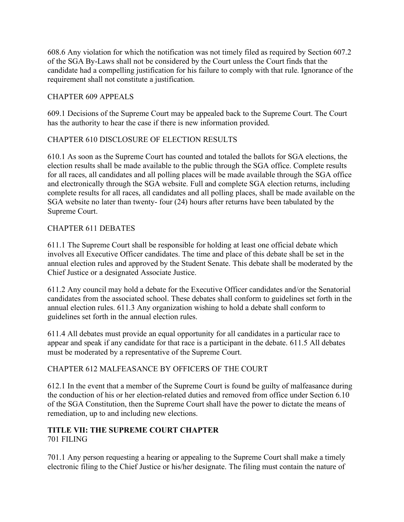608.6 Any violation for which the notification was not timely filed as required by Section 607.2 of the SGA By-Laws shall not be considered by the Court unless the Court finds that the candidate had a compelling justification for his failure to comply with that rule. Ignorance of the requirement shall not constitute a justification.

# CHAPTER 609 APPEALS

609.1 Decisions of the Supreme Court may be appealed back to the Supreme Court. The Court has the authority to hear the case if there is new information provided.

# CHAPTER 610 DISCLOSURE OF ELECTION RESULTS

610.1 As soon as the Supreme Court has counted and totaled the ballots for SGA elections, the election results shall be made available to the public through the SGA office. Complete results for all races, all candidates and all polling places will be made available through the SGA office and electronically through the SGA website. Full and complete SGA election returns, including complete results for all races, all candidates and all polling places, shall be made available on the SGA website no later than twenty- four (24) hours after returns have been tabulated by the Supreme Court.

# CHAPTER 611 DEBATES

611.1 The Supreme Court shall be responsible for holding at least one official debate which involves all Executive Officer candidates. The time and place of this debate shall be set in the annual election rules and approved by the Student Senate. This debate shall be moderated by the Chief Justice or a designated Associate Justice.

611.2 Any council may hold a debate for the Executive Officer candidates and/or the Senatorial candidates from the associated school. These debates shall conform to guidelines set forth in the annual election rules. 611.3 Any organization wishing to hold a debate shall conform to guidelines set forth in the annual election rules.

611.4 All debates must provide an equal opportunity for all candidates in a particular race to appear and speak if any candidate for that race is a participant in the debate. 611.5 All debates must be moderated by a representative of the Supreme Court.

# CHAPTER 612 MALFEASANCE BY OFFICERS OF THE COURT

612.1 In the event that a member of the Supreme Court is found be guilty of malfeasance during the conduction of his or her election-related duties and removed from office under Section 6.10 of the SGA Constitution, then the Supreme Court shall have the power to dictate the means of remediation, up to and including new elections.

# **TITLE VII: THE SUPREME COURT CHAPTER**  701 FILING

701.1 Any person requesting a hearing or appealing to the Supreme Court shall make a timely electronic filing to the Chief Justice or his/her designate. The filing must contain the nature of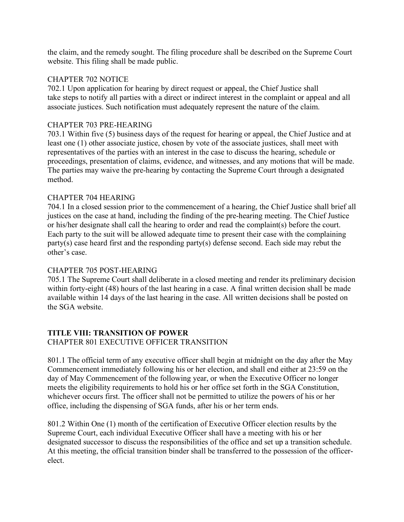the claim, and the remedy sought. The filing procedure shall be described on the Supreme Court website. This filing shall be made public.

## CHAPTER 702 NOTICE

702.1 Upon application for hearing by direct request or appeal, the Chief Justice shall take steps to notify all parties with a direct or indirect interest in the complaint or appeal and all associate justices. Such notification must adequately represent the nature of the claim.

## CHAPTER 703 PRE-HEARING

703.1 Within five (5) business days of the request for hearing or appeal, the Chief Justice and at least one (1) other associate justice, chosen by vote of the associate justices, shall meet with representatives of the parties with an interest in the case to discuss the hearing, schedule or proceedings, presentation of claims, evidence, and witnesses, and any motions that will be made. The parties may waive the pre-hearing by contacting the Supreme Court through a designated method.

## CHAPTER 704 HEARING

704.1 In a closed session prior to the commencement of a hearing, the Chief Justice shall brief all justices on the case at hand, including the finding of the pre-hearing meeting. The Chief Justice or his/her designate shall call the hearing to order and read the complaint(s) before the court. Each party to the suit will be allowed adequate time to present their case with the complaining party(s) case heard first and the responding party(s) defense second. Each side may rebut the other's case.

# CHAPTER 705 POST-HEARING

705.1 The Supreme Court shall deliberate in a closed meeting and render its preliminary decision within forty-eight (48) hours of the last hearing in a case. A final written decision shall be made available within 14 days of the last hearing in the case. All written decisions shall be posted on the SGA website.

#### **TITLE VIII: TRANSITION OF POWER**  CHAPTER 801 EXECUTIVE OFFICER TRANSITION

801.1 The official term of any executive officer shall begin at midnight on the day after the May Commencement immediately following his or her election, and shall end either at 23:59 on the day of May Commencement of the following year, or when the Executive Officer no longer meets the eligibility requirements to hold his or her office set forth in the SGA Constitution, whichever occurs first. The officer shall not be permitted to utilize the powers of his or her office, including the dispensing of SGA funds, after his or her term ends.

801.2 Within One (1) month of the certification of Executive Officer election results by the Supreme Court, each individual Executive Officer shall have a meeting with his or her designated successor to discuss the responsibilities of the office and set up a transition schedule. At this meeting, the official transition binder shall be transferred to the possession of the officerelect.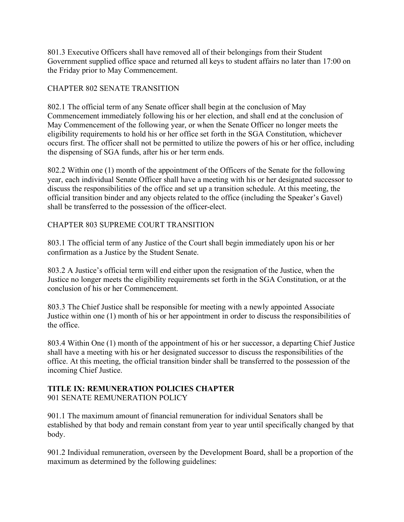801.3 Executive Officers shall have removed all of their belongings from their Student Government supplied office space and returned all keys to student affairs no later than 17:00 on the Friday prior to May Commencement.

# CHAPTER 802 SENATE TRANSITION

802.1 The official term of any Senate officer shall begin at the conclusion of May Commencement immediately following his or her election, and shall end at the conclusion of May Commencement of the following year, or when the Senate Officer no longer meets the eligibility requirements to hold his or her office set forth in the SGA Constitution, whichever occurs first. The officer shall not be permitted to utilize the powers of his or her office, including the dispensing of SGA funds, after his or her term ends.

802.2 Within one (1) month of the appointment of the Officers of the Senate for the following year, each individual Senate Officer shall have a meeting with his or her designated successor to discuss the responsibilities of the office and set up a transition schedule. At this meeting, the official transition binder and any objects related to the office (including the Speaker's Gavel) shall be transferred to the possession of the officer-elect.

# CHAPTER 803 SUPREME COURT TRANSITION

803.1 The official term of any Justice of the Court shall begin immediately upon his or her confirmation as a Justice by the Student Senate.

803.2 A Justice's official term will end either upon the resignation of the Justice, when the Justice no longer meets the eligibility requirements set forth in the SGA Constitution, or at the conclusion of his or her Commencement.

803.3 The Chief Justice shall be responsible for meeting with a newly appointed Associate Justice within one (1) month of his or her appointment in order to discuss the responsibilities of the office.

803.4 Within One (1) month of the appointment of his or her successor, a departing Chief Justice shall have a meeting with his or her designated successor to discuss the responsibilities of the office. At this meeting, the official transition binder shall be transferred to the possession of the incoming Chief Justice.

# **TITLE IX: REMUNERATION POLICIES CHAPTER**

901 SENATE REMUNERATION POLICY

901.1 The maximum amount of financial remuneration for individual Senators shall be established by that body and remain constant from year to year until specifically changed by that body.

901.2 Individual remuneration, overseen by the Development Board, shall be a proportion of the maximum as determined by the following guidelines: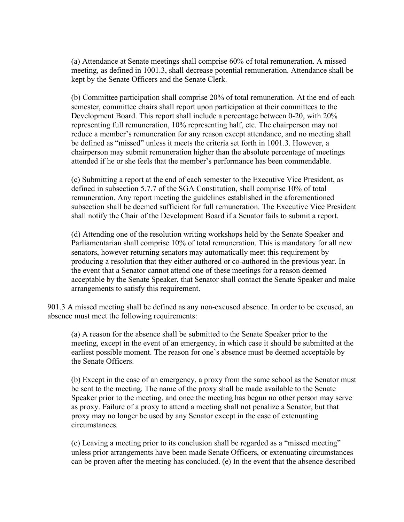(a) Attendance at Senate meetings shall comprise 60% of total remuneration. A missed meeting, as defined in 1001.3, shall decrease potential remuneration. Attendance shall be kept by the Senate Officers and the Senate Clerk.

(b) Committee participation shall comprise 20% of total remuneration. At the end of each semester, committee chairs shall report upon participation at their committees to the Development Board. This report shall include a percentage between 0-20, with 20% representing full remuneration, 10% representing half, etc. The chairperson may not reduce a member's remuneration for any reason except attendance, and no meeting shall be defined as "missed" unless it meets the criteria set forth in 1001.3. However, a chairperson may submit remuneration higher than the absolute percentage of meetings attended if he or she feels that the member's performance has been commendable.

(c) Submitting a report at the end of each semester to the Executive Vice President, as defined in subsection 5.7.7 of the SGA Constitution, shall comprise 10% of total remuneration. Any report meeting the guidelines established in the aforementioned subsection shall be deemed sufficient for full remuneration. The Executive Vice President shall notify the Chair of the Development Board if a Senator fails to submit a report.

(d) Attending one of the resolution writing workshops held by the Senate Speaker and Parliamentarian shall comprise 10% of total remuneration. This is mandatory for all new senators, however returning senators may automatically meet this requirement by producing a resolution that they either authored or co-authored in the previous year. In the event that a Senator cannot attend one of these meetings for a reason deemed acceptable by the Senate Speaker, that Senator shall contact the Senate Speaker and make arrangements to satisfy this requirement.

901.3 A missed meeting shall be defined as any non-excused absence. In order to be excused, an absence must meet the following requirements:

(a) A reason for the absence shall be submitted to the Senate Speaker prior to the meeting, except in the event of an emergency, in which case it should be submitted at the earliest possible moment. The reason for one's absence must be deemed acceptable by the Senate Officers.

(b) Except in the case of an emergency, a proxy from the same school as the Senator must be sent to the meeting. The name of the proxy shall be made available to the Senate Speaker prior to the meeting, and once the meeting has begun no other person may serve as proxy. Failure of a proxy to attend a meeting shall not penalize a Senator, but that proxy may no longer be used by any Senator except in the case of extenuating circumstances.

(c) Leaving a meeting prior to its conclusion shall be regarded as a "missed meeting" unless prior arrangements have been made Senate Officers, or extenuating circumstances can be proven after the meeting has concluded. (e) In the event that the absence described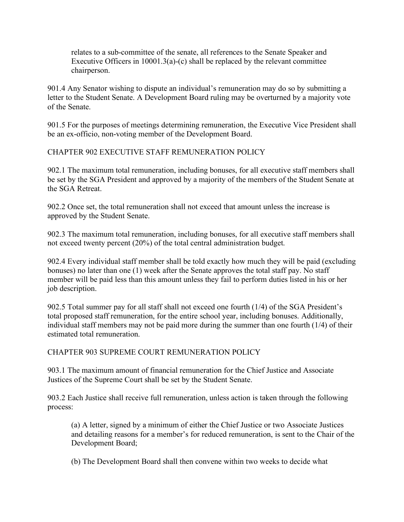relates to a sub-committee of the senate, all references to the Senate Speaker and Executive Officers in  $10001.3(a)-(c)$  shall be replaced by the relevant committee chairperson.

901.4 Any Senator wishing to dispute an individual's remuneration may do so by submitting a letter to the Student Senate. A Development Board ruling may be overturned by a majority vote of the Senate.

901.5 For the purposes of meetings determining remuneration, the Executive Vice President shall be an ex-officio, non-voting member of the Development Board.

CHAPTER 902 EXECUTIVE STAFF REMUNERATION POLICY

902.1 The maximum total remuneration, including bonuses, for all executive staff members shall be set by the SGA President and approved by a majority of the members of the Student Senate at the SGA Retreat.

902.2 Once set, the total remuneration shall not exceed that amount unless the increase is approved by the Student Senate.

902.3 The maximum total remuneration, including bonuses, for all executive staff members shall not exceed twenty percent (20%) of the total central administration budget.

902.4 Every individual staff member shall be told exactly how much they will be paid (excluding bonuses) no later than one (1) week after the Senate approves the total staff pay. No staff member will be paid less than this amount unless they fail to perform duties listed in his or her job description.

902.5 Total summer pay for all staff shall not exceed one fourth (1/4) of the SGA President's total proposed staff remuneration, for the entire school year, including bonuses. Additionally, individual staff members may not be paid more during the summer than one fourth (1/4) of their estimated total remuneration.

CHAPTER 903 SUPREME COURT REMUNERATION POLICY

903.1 The maximum amount of financial remuneration for the Chief Justice and Associate Justices of the Supreme Court shall be set by the Student Senate.

903.2 Each Justice shall receive full remuneration, unless action is taken through the following process:

(a) A letter, signed by a minimum of either the Chief Justice or two Associate Justices and detailing reasons for a member's for reduced remuneration, is sent to the Chair of the Development Board;

(b) The Development Board shall then convene within two weeks to decide what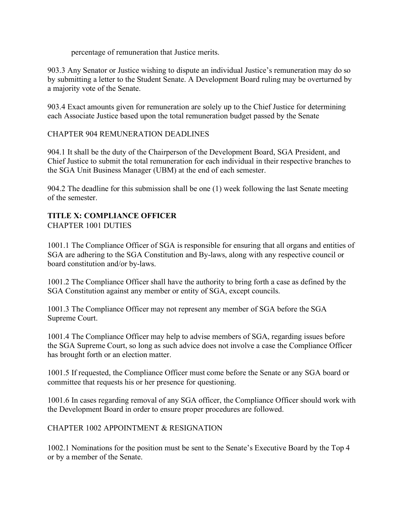percentage of remuneration that Justice merits.

903.3 Any Senator or Justice wishing to dispute an individual Justice's remuneration may do so by submitting a letter to the Student Senate. A Development Board ruling may be overturned by a majority vote of the Senate.

903.4 Exact amounts given for remuneration are solely up to the Chief Justice for determining each Associate Justice based upon the total remuneration budget passed by the Senate

# CHAPTER 904 REMUNERATION DEADLINES

904.1 It shall be the duty of the Chairperson of the Development Board, SGA President, and Chief Justice to submit the total remuneration for each individual in their respective branches to the SGA Unit Business Manager (UBM) at the end of each semester.

904.2 The deadline for this submission shall be one (1) week following the last Senate meeting of the semester.

# **TITLE X: COMPLIANCE OFFICER** CHAPTER 1001 DUTIES

1001.1 The Compliance Officer of SGA is responsible for ensuring that all organs and entities of SGA are adhering to the SGA Constitution and By-laws, along with any respective council or board constitution and/or by-laws.

1001.2 The Compliance Officer shall have the authority to bring forth a case as defined by the SGA Constitution against any member or entity of SGA, except councils.

1001.3 The Compliance Officer may not represent any member of SGA before the SGA Supreme Court.

1001.4 The Compliance Officer may help to advise members of SGA, regarding issues before the SGA Supreme Court, so long as such advice does not involve a case the Compliance Officer has brought forth or an election matter.

1001.5 If requested, the Compliance Officer must come before the Senate or any SGA board or committee that requests his or her presence for questioning.

1001.6 In cases regarding removal of any SGA officer, the Compliance Officer should work with the Development Board in order to ensure proper procedures are followed.

# CHAPTER 1002 APPOINTMENT & RESIGNATION

1002.1 Nominations for the position must be sent to the Senate's Executive Board by the Top 4 or by a member of the Senate.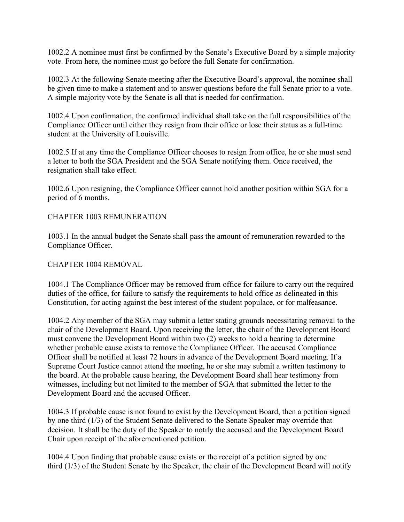1002.2 A nominee must first be confirmed by the Senate's Executive Board by a simple majority vote. From here, the nominee must go before the full Senate for confirmation.

1002.3 At the following Senate meeting after the Executive Board's approval, the nominee shall be given time to make a statement and to answer questions before the full Senate prior to a vote. A simple majority vote by the Senate is all that is needed for confirmation.

1002.4 Upon confirmation, the confirmed individual shall take on the full responsibilities of the Compliance Officer until either they resign from their office or lose their status as a full-time student at the University of Louisville.

1002.5 If at any time the Compliance Officer chooses to resign from office, he or she must send a letter to both the SGA President and the SGA Senate notifying them. Once received, the resignation shall take effect.

1002.6 Upon resigning, the Compliance Officer cannot hold another position within SGA for a period of 6 months.

## CHAPTER 1003 REMUNERATION

1003.1 In the annual budget the Senate shall pass the amount of remuneration rewarded to the Compliance Officer.

#### CHAPTER 1004 REMOVAL

1004.1 The Compliance Officer may be removed from office for failure to carry out the required duties of the office, for failure to satisfy the requirements to hold office as delineated in this Constitution, for acting against the best interest of the student populace, or for malfeasance.

1004.2 Any member of the SGA may submit a letter stating grounds necessitating removal to the chair of the Development Board. Upon receiving the letter, the chair of the Development Board must convene the Development Board within two (2) weeks to hold a hearing to determine whether probable cause exists to remove the Compliance Officer. The accused Compliance Officer shall be notified at least 72 hours in advance of the Development Board meeting. If a Supreme Court Justice cannot attend the meeting, he or she may submit a written testimony to the board. At the probable cause hearing, the Development Board shall hear testimony from witnesses, including but not limited to the member of SGA that submitted the letter to the Development Board and the accused Officer.

1004.3 If probable cause is not found to exist by the Development Board, then a petition signed by one third (1/3) of the Student Senate delivered to the Senate Speaker may override that decision. It shall be the duty of the Speaker to notify the accused and the Development Board Chair upon receipt of the aforementioned petition.

1004.4 Upon finding that probable cause exists or the receipt of a petition signed by one third (1/3) of the Student Senate by the Speaker, the chair of the Development Board will notify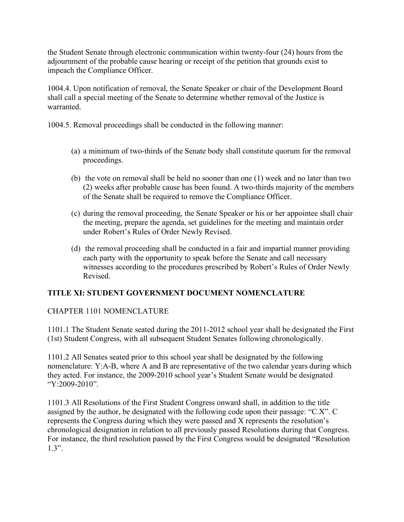the Student Senate through electronic communication within twenty-four (24) hours from the adjournment of the probable cause hearing or receipt of the petition that grounds exist to impeach the Compliance Officer.

1004.4. Upon notification of removal, the Senate Speaker or chair of the Development Board shall call a special meeting of the Senate to determine whether removal of the Justice is warranted.

1004.5. Removal proceedings shall be conducted in the following manner:

- (a) a minimum of two-thirds of the Senate body shall constitute quorum for the removal proceedings.
- (b) the vote on removal shall be held no sooner than one (1) week and no later than two (2) weeks after probable cause has been found. A two-thirds majority of the members of the Senate shall be required to remove the Compliance Officer.
- (c) during the removal proceeding, the Senate Speaker or his or her appointee shall chair the meeting, prepare the agenda, set guidelines for the meeting and maintain order under Robert's Rules of Order Newly Revised.
- (d) the removal proceeding shall be conducted in a fair and impartial manner providing each party with the opportunity to speak before the Senate and call necessary witnesses according to the procedures prescribed by Robert's Rules of Order Newly Revised.

# **TITLE XI: STUDENT GOVERNMENT DOCUMENT NOMENCLATURE**

# CHAPTER 1101 NOMENCLATURE

1101.1 The Student Senate seated during the 2011-2012 school year shall be designated the First (1st) Student Congress, with all subsequent Student Senates following chronologically.

1101.2 All Senates seated prior to this school year shall be designated by the following nomenclature: Y:A-B, where A and B are representative of the two calendar years during which they acted. For instance, the 2009-2010 school year's Student Senate would be designated "Y:2009-2010".

1101.3 All Resolutions of the First Student Congress onward shall, in addition to the title assigned by the author, be designated with the following code upon their passage: "C.X". C represents the Congress during which they were passed and X represents the resolution's chronological designation in relation to all previously passed Resolutions during that Congress. For instance, the third resolution passed by the First Congress would be designated "Resolution 1.3".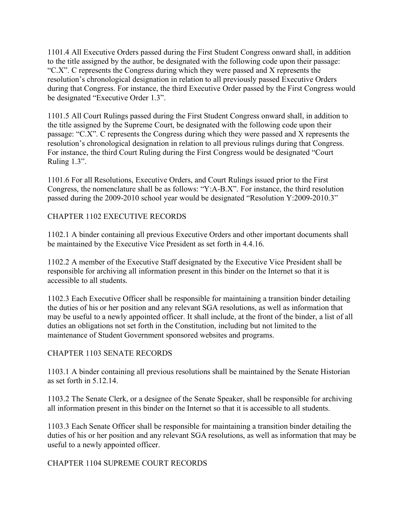1101.4 All Executive Orders passed during the First Student Congress onward shall, in addition to the title assigned by the author, be designated with the following code upon their passage: "C.X". C represents the Congress during which they were passed and X represents the resolution's chronological designation in relation to all previously passed Executive Orders during that Congress. For instance, the third Executive Order passed by the First Congress would be designated "Executive Order 1.3".

1101.5 All Court Rulings passed during the First Student Congress onward shall, in addition to the title assigned by the Supreme Court, be designated with the following code upon their passage: "C.X". C represents the Congress during which they were passed and X represents the resolution's chronological designation in relation to all previous rulings during that Congress. For instance, the third Court Ruling during the First Congress would be designated "Court Ruling 1.3".

1101.6 For all Resolutions, Executive Orders, and Court Rulings issued prior to the First Congress, the nomenclature shall be as follows: "Y:A-B.X". For instance, the third resolution passed during the 2009-2010 school year would be designated "Resolution Y:2009-2010.3"

# CHAPTER 1102 EXECUTIVE RECORDS

1102.1 A binder containing all previous Executive Orders and other important documents shall be maintained by the Executive Vice President as set forth in 4.4.16.

1102.2 A member of the Executive Staff designated by the Executive Vice President shall be responsible for archiving all information present in this binder on the Internet so that it is accessible to all students.

1102.3 Each Executive Officer shall be responsible for maintaining a transition binder detailing the duties of his or her position and any relevant SGA resolutions, as well as information that may be useful to a newly appointed officer. It shall include, at the front of the binder, a list of all duties an obligations not set forth in the Constitution, including but not limited to the maintenance of Student Government sponsored websites and programs.

# CHAPTER 1103 SENATE RECORDS

1103.1 A binder containing all previous resolutions shall be maintained by the Senate Historian as set forth in 5.12.14.

1103.2 The Senate Clerk, or a designee of the Senate Speaker, shall be responsible for archiving all information present in this binder on the Internet so that it is accessible to all students.

1103.3 Each Senate Officer shall be responsible for maintaining a transition binder detailing the duties of his or her position and any relevant SGA resolutions, as well as information that may be useful to a newly appointed officer.

# CHAPTER 1104 SUPREME COURT RECORDS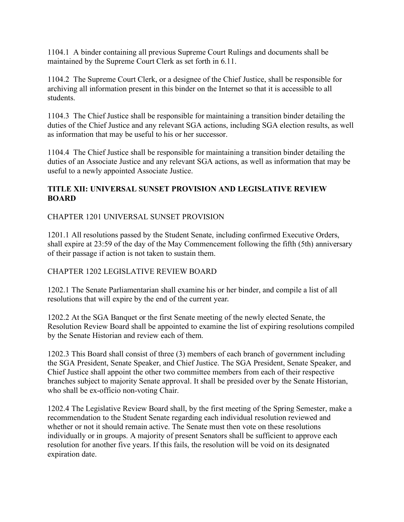1104.1 A binder containing all previous Supreme Court Rulings and documents shall be maintained by the Supreme Court Clerk as set forth in 6.11.

1104.2 The Supreme Court Clerk, or a designee of the Chief Justice, shall be responsible for archiving all information present in this binder on the Internet so that it is accessible to all students.

1104.3 The Chief Justice shall be responsible for maintaining a transition binder detailing the duties of the Chief Justice and any relevant SGA actions, including SGA election results, as well as information that may be useful to his or her successor.

1104.4 The Chief Justice shall be responsible for maintaining a transition binder detailing the duties of an Associate Justice and any relevant SGA actions, as well as information that may be useful to a newly appointed Associate Justice.

# **TITLE XII: UNIVERSAL SUNSET PROVISION AND LEGISLATIVE REVIEW BOARD**

CHAPTER 1201 UNIVERSAL SUNSET PROVISION

1201.1 All resolutions passed by the Student Senate, including confirmed Executive Orders, shall expire at 23:59 of the day of the May Commencement following the fifth (5th) anniversary of their passage if action is not taken to sustain them.

# CHAPTER 1202 LEGISLATIVE REVIEW BOARD

1202.1 The Senate Parliamentarian shall examine his or her binder, and compile a list of all resolutions that will expire by the end of the current year.

1202.2 At the SGA Banquet or the first Senate meeting of the newly elected Senate, the Resolution Review Board shall be appointed to examine the list of expiring resolutions compiled by the Senate Historian and review each of them.

1202.3 This Board shall consist of three (3) members of each branch of government including the SGA President, Senate Speaker, and Chief Justice. The SGA President, Senate Speaker, and Chief Justice shall appoint the other two committee members from each of their respective branches subject to majority Senate approval. It shall be presided over by the Senate Historian, who shall be ex-officio non-voting Chair.

1202.4 The Legislative Review Board shall, by the first meeting of the Spring Semester, make a recommendation to the Student Senate regarding each individual resolution reviewed and whether or not it should remain active. The Senate must then vote on these resolutions individually or in groups. A majority of present Senators shall be sufficient to approve each resolution for another five years. If this fails, the resolution will be void on its designated expiration date.